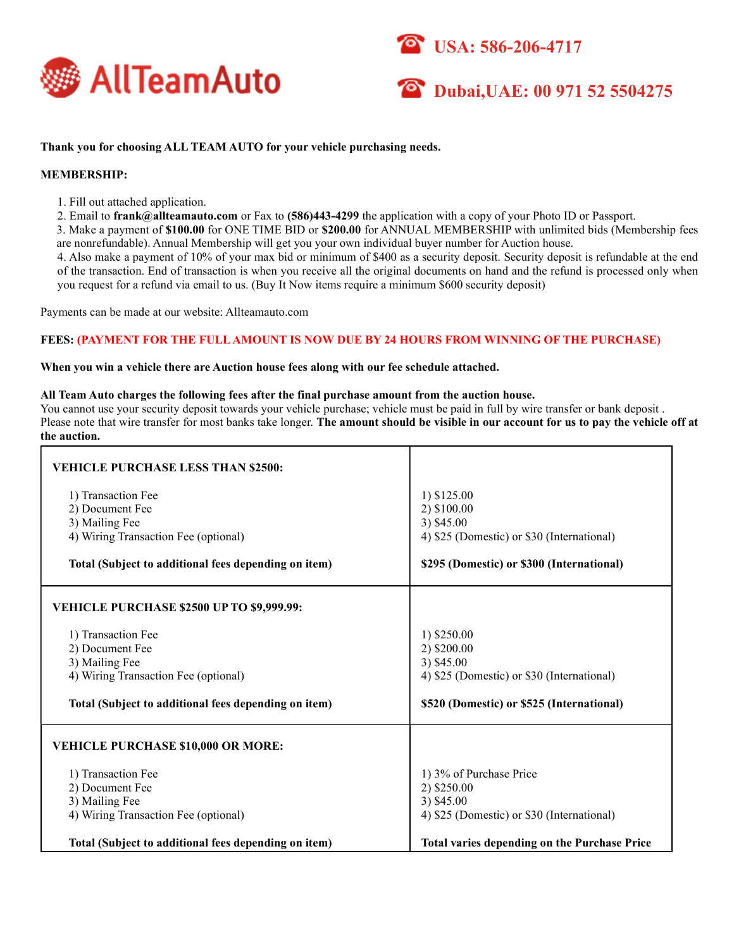





# Thank you for choosing ALL TEAM AUTO for your vehicle purchasing needs.

# MEMBERSHIP:

1. Fill out attached application.

2. Email to frank@allteamauto.com or Fax to (586)443-4299 the application with a copy of your Photo ID or Passport.

3. Make a payment of \$100.00 for ONE TIME BID or \$200.00 for ANNUAL MEMBERSHIP with unlimited bids (Membership fees are nonrefundable). Annual Membership will get you your own individual buyer number for Auction house.

4. Also make a payment of 10% of your max bid or minimum of \$400 as a security deposit. Security deposit is refundable at the end of the transaction. End of transaction is when you receive all the original documents on hand and the refund is processed only when you request for a refund via email to us. (Buy It Now items require a minimum \$600 security deposit)

Payments can be made at our website: Allteamauto.com

### FEES: (PAYMENT FOR THE FULL AMOUNT IS NOW DUE BY 24 HOURS FROM WINNING OF THE PURCHASE)

### When you win a vehicle there are Auction house fees along with our fee schedule attached.

### All Team Auto charges the following fees after the final purchase amount from the auction house.

You cannot use your security deposit towards your vehicle purchase; vehicle must be paid in full by wire transfer or bank deposit . Please note that wire transfer for most banks take longer. The amount should be visible in our account for us to pay the vehicle off at the auction.

| <b>VEHICLE PURCHASE LESS THAN \$2500:</b><br>1) Transaction Fee | 1) \$125.00                                         |
|-----------------------------------------------------------------|-----------------------------------------------------|
| 2) Document Fee<br>3) Mailing Fee                               | 2) \$100.00<br>3) \$45.00                           |
| 4) Wiring Transaction Fee (optional)                            | 4) \$25 (Domestic) or \$30 (International)          |
| Total (Subject to additional fees depending on item)            | \$295 (Domestic) or \$300 (International)           |
| <b>VEHICLE PURCHASE \$2500 UP TO \$9,999.99:</b>                |                                                     |
| 1) Transaction Fee                                              | 1) \$250.00                                         |
| 2) Document Fee<br>3) Mailing Fee                               | 2) \$200.00<br>3) \$45.00                           |
| 4) Wiring Transaction Fee (optional)                            | 4) \$25 (Domestic) or \$30 (International)          |
| Total (Subject to additional fees depending on item)            | \$520 (Domestic) or \$525 (International)           |
| <b>VEHICLE PURCHASE \$10,000 OR MORE:</b>                       |                                                     |
| 1) Transaction Fee                                              | 1) 3% of Purchase Price                             |
| 2) Document Fee                                                 | 2) \$250.00                                         |
| 3) Mailing Fee                                                  | 3) \$45.00                                          |
| 4) Wiring Transaction Fee (optional)                            | 4) \$25 (Domestic) or \$30 (International)          |
| Total (Subject to additional fees depending on item)            | <b>Total varies depending on the Purchase Price</b> |